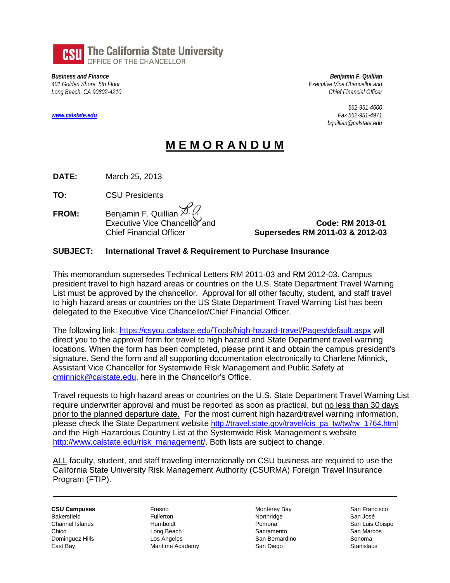

*Business and Finance 401 Golden Shore, 5th Floor Long Beach, CA 90802-4210*

*[www.calstate.edu](http://www.calstate.edu/)*

*Benjamin F. Quillian Executive Vice Chancellor and Chief Financial Officer*

> *562-951-4600 Fax 562-951-4971 bquillian@calstate.edu*

## **M E M O R A N D U M**

**DATE:** March 25, 2013

**TO:** CSU Presidents

**FROM:** Benjamin F. Quillian  $\overline{X}$ .

 Executive Vice Chancellor and **Code: RM 2013-01** Chief Financial Officer **Supersedes RM 2011-03 & 2012-03**

## **SUBJECT: International Travel & Requirement to Purchase Insurance**

This memorandum supersedes Technical Letters RM 2011-03 and RM 2012-03. Campus president travel to high hazard areas or countries on the U.S. State Department Travel Warning List must be approved by the chancellor. Approval for all other faculty, student, and staff travel to high hazard areas or countries on the US State Department Travel Warning List has been delegated to the Executive Vice Chancellor/Chief Financial Officer.

The following link:<https://csyou.calstate.edu/Tools/high-hazard-travel/Pages/default.aspx> will direct you to the approval form for travel to high hazard and State Department travel warning locations. When the form has been completed, please print it and obtain the campus president's signature. Send the form and all supporting documentation electronically to Charlene Minnick, Assistant Vice Chancellor for Systemwide Risk Management and Public Safety at [cminnick@calstate.edu,](mailto:cminnick@calstate.edu) here in the Chancellor's Office.

Travel requests to high hazard areas or countries on the U.S. State Department Travel Warning List require underwriter approval and must be reported as soon as practical, but no less than 30 days prior to the planned departure date. For the most current high hazard/travel warning information, please check the State Department website [http://travel.state.gov/travel/cis\\_pa\\_tw/tw/tw\\_1764.html](http://travel.state.gov/travel/cis_pa_tw/tw/tw_1764.html) and the High Hazardous Country List at the Systemwide Risk Management's website [http://www.calstate.edu/risk\\_management/.](http://www.calstate.edu/risk_management/) Both lists are subject to change.

ALL faculty, student, and staff traveling internationally on CSU business are required to use the California State University Risk Management Authority (CSURMA) Foreign Travel Insurance Program (FTIP).

**CSU Campuses** Bakersfield Channel Islands Chico Dominguez Hills East Bay

Fresno Fullerton Humboldt Long Beach Los Angeles Maritime Academy Monterey Bay Northridge Pomona Sacramento San Bernardino San Diego

San Francisco San José San Luis Obispo San Marcos Sonoma **Stanislaus**